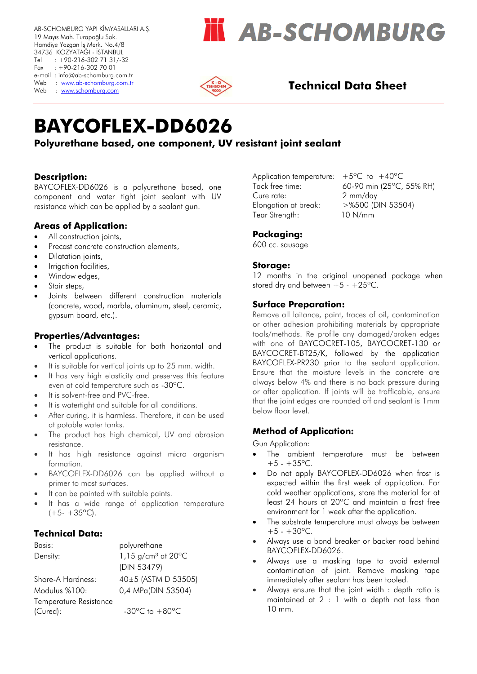AB-SCHOMBURG YAPI KİMYASALLARI A.Ş. 19 Mayıs Mah. Turapoğlu Sok. Hamdiye Yazgan İş Merk. No.4/8 34736 KOZYATAĞI - İSTANBUL Tel : +90-216-302 71 31/-32 Fax : +90-216-302 70 01 e-mail : info@ab-schomburg.com.tr Web : www.ab-schomburg.com.tr<br>Web : www.schomburg.com

# **AB-SCHOMBURG**



### **Technical Data Sheet**

# **BAYCOFLEX-DD6026**

### **Polyurethane based, one component, UV resistant joint sealant**

#### **Description:**

BAYCOFLEX-DD6026 is a polyurethane based, one component and water tight joint sealant with UV resistance which can be applied by a sealant gun.

#### **Areas of Application:**

- All construction joints,
- Precast concrete construction elements,
- Dilatation joints,
- Irrigation facilities,
- Window edges,
- Stair steps,
- Joints between different construction materials (concrete, wood, marble, aluminum, steel, ceramic, gypsum board, etc.).

#### **Properties/Advantages:**

- The product is suitable for both horizontal and vertical applications.
- It is suitable for vertical joints up to 25 mm, width.
- It has very high elasticity and preserves this feature even at cold temperature such as -30ºC.
- It is solvent-free and PVC-free.
- It is watertight and suitable for all conditions.
- After curing, it is harmless. Therefore, it can be used at potable water tanks.
- The product has high chemical, UV and abrasion resistance.
- It has high resistance against micro organism formation.
- BAYCOFLEX-DD6026 can be applied without a primer to most surfaces.
- It can be painted with suitable paints.
- It has a wide range of application temperature  $(+5 - +35$ °C).

#### **Technical Data:**

| Basis:                 | polyurethane                                        |
|------------------------|-----------------------------------------------------|
| Density:               | 1,15 $g/cm^3$ at 20 $^{\circ}$ C                    |
|                        | (DIN 53479)                                         |
| Shore-A Hardness:      | 40±5 (ASTM D 53505)                                 |
| Modulus %100:          | 0,4 MPa(DIN 53504)                                  |
| Temperature Resistance |                                                     |
| (Cured):               | -30 $\mathrm{^{\circ}C}$ to $+80\mathrm{^{\circ}C}$ |

Application temperature:  $+5^{\circ}$ C to  $+40^{\circ}$ C Cure rate: 2 mm/day Elongation at break: >%500 (DIN 53504) Tear Strength: 10 N/mm

Tack free time: 60-90 min (25ºC, 55% RH)

#### **Packaging:**

600 cc. sausage

#### **Storage:**

12 months in the original unopened package when stored dry and between  $+5 - +25^{\circ}C$ .

#### **Surface Preparation:**

Remove all laitance, paint, traces of oil, contamination or other adhesion prohibiting materials by appropriate tools/methods. Re profile any damaged/broken edges with one of BAYCOCRET-105, BAYCOCRET-130 or BAYCOCRET-BT25/K, followed by the application BAYCOFLEX-PR230 prior to the sealant application. Ensure that the moisture levels in the concrete are always below 4% and there is no back pressure during or after application. If joints will be trafficable, ensure that the joint edges are rounded off and sealant is 1mm below floor level.

#### **Method of Application:**

Gun Application:

- The ambient temperature must be between  $+5 - +35$ °C.
- Do not apply BAYCOFLEX-DD6026 when frost is expected within the first week of application. For cold weather applications, store the material for at least 24 hours at 20ºC and maintain a frost free environment for 1 week after the application.
- The substrate temperature must always be between  $+5 - +30$ <sup>o</sup>C.
- Always use a bond breaker or backer road behind BAYCOFLEX-DD6026.
- Always use a masking tape to avoid external contamination of joint. Remove masking tape immediately after sealant has been tooled.
- Always ensure that the joint width : depth ratio is maintained at 2 : 1 with a depth not less than 10 mm.